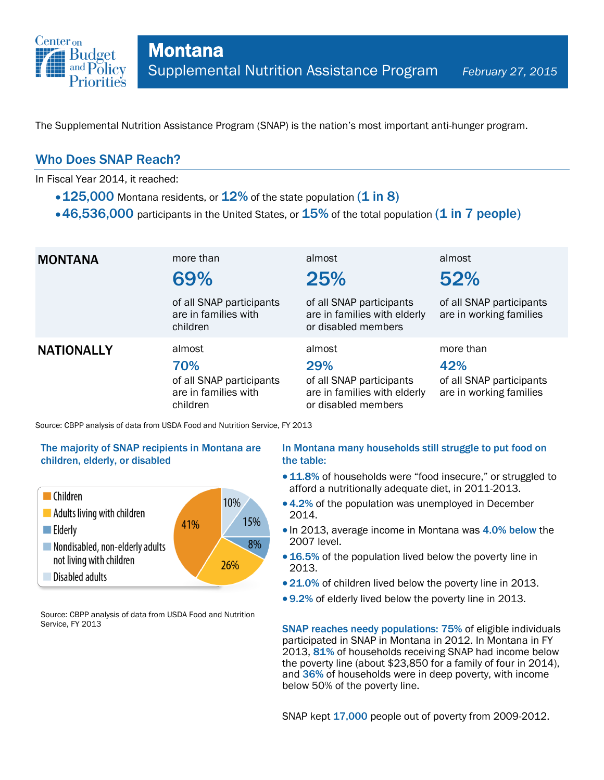

The Supplemental Nutrition Assistance Program (SNAP) is the nation's most important anti-hunger program.

## Who Does SNAP Reach?

In Fiscal Year 2014, it reached:

- $\cdot$  125,000 Montana residents, or 12% of the state population (1 in 8)
- $\cdot$  46,536,000 participants in the United States, or  $15\%$  of the total population (1 in 7 people)

| <b>MONTANA</b>    | more than<br>69%<br>of all SNAP participants<br>are in families with<br>children | almost<br>25%<br>of all SNAP participants<br>are in families with elderly<br>or disabled members | almost<br>52%<br>of all SNAP participants<br>are in working families    |
|-------------------|----------------------------------------------------------------------------------|--------------------------------------------------------------------------------------------------|-------------------------------------------------------------------------|
| <b>NATIONALLY</b> | almost<br>70%<br>of all SNAP participants<br>are in families with<br>children    | almost<br>29%<br>of all SNAP participants<br>are in families with elderly<br>or disabled members | more than<br>42%<br>of all SNAP participants<br>are in working families |

Source: CBPP analysis of data from USDA Food and Nutrition Service, FY 2013

### The majority of SNAP recipients in Montana are children, elderly, or disabled



Source: CBPP analysis of data from USDA Food and Nutrition Service, FY 2013

### In Montana many households still struggle to put food on the table:

- 11.8% of households were "food insecure," or struggled to afford a nutritionally adequate diet, in 2011-2013.
- 4.2% of the population was unemployed in December 2014.
- In 2013, average income in Montana was 4.0% below the 2007 level.
- 16.5% of the population lived below the poverty line in 2013.
- 21.0% of children lived below the poverty line in 2013.
- 9.2% of elderly lived below the poverty line in 2013.

SNAP reaches needy populations: 75% of eligible individuals participated in SNAP in Montana in 2012. In Montana in FY 2013, 81% of households receiving SNAP had income below the poverty line (about \$23,850 for a family of four in 2014), and 36% of households were in deep poverty, with income below 50% of the poverty line.

SNAP kept 17,000 people out of poverty from 2009-2012.